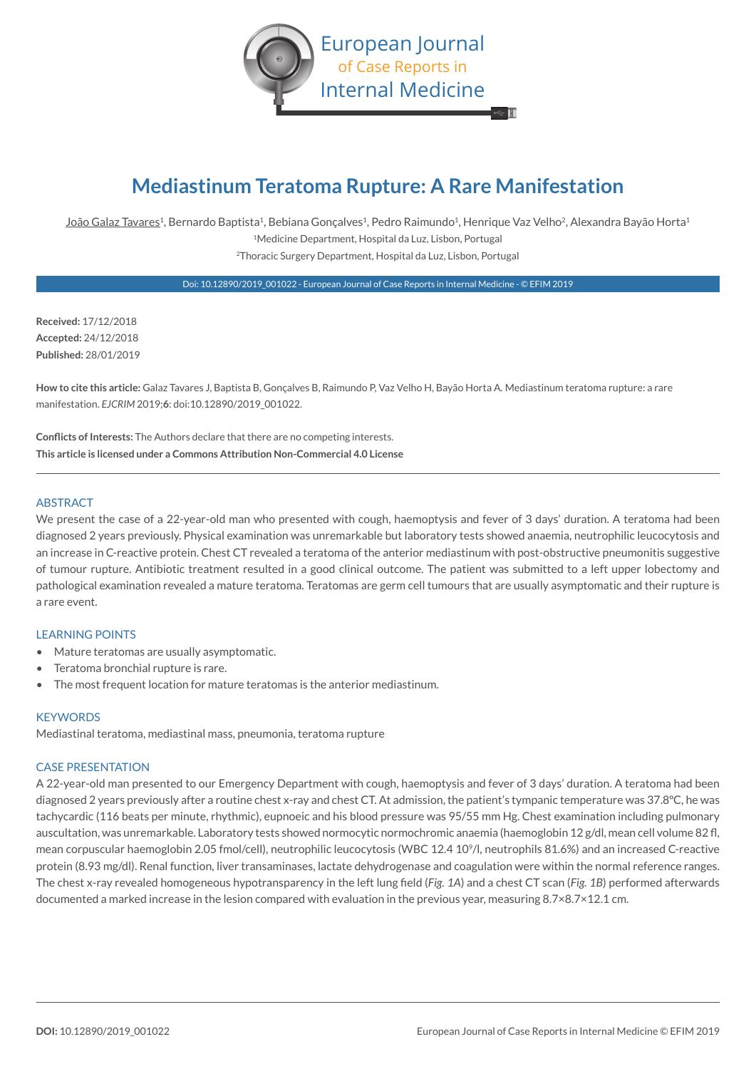

# **Mediastinum Teratoma Rupture: A Rare Manifestation**

João Galaz Tavares<sup>1</sup>, Bernardo Baptista<sup>1</sup>, Bebiana Gonçalves<sup>1</sup>, Pedro Raimundo<sup>1</sup>, Henrique Vaz Velho<sup>2</sup>, Alexandra Bayão Horta<sup>1</sup> 1Medicine Department, Hospital da Luz, Lisbon, Portugal 2Thoracic Surgery Department, Hospital da Luz, Lisbon, Portugal

Doi: 10.12890/2019\_001022 - European Journal of Case Reports in Internal Medicine - © EFIM 2019

**Received:** 17/12/2018 **Accepted:** 24/12/2018 **Published:** 28/01/2019

**How to cite this article:** Galaz Tavares J, Baptista B, Gonçalves B, Raimundo P, Vaz Velho H, Bayão Horta A. Mediastinum teratoma rupture: a rare manifestation. *EJCRIM* 2019;**6**: doi:10.12890/2019\_001022.

**Conflicts of Interests:** The Authors declare that there are no competing interests. **This article is licensed under a Commons Attribution Non-Commercial 4.0 License**

### ABSTRACT

We present the case of a 22-year-old man who presented with cough, haemoptysis and fever of 3 days' duration. A teratoma had been diagnosed 2 years previously. Physical examination was unremarkable but laboratory tests showed anaemia, neutrophilic leucocytosis and an increase in C-reactive protein. Chest CT revealed a teratoma of the anterior mediastinum with post-obstructive pneumonitis suggestive of tumour rupture. Antibiotic treatment resulted in a good clinical outcome. The patient was submitted to a left upper lobectomy and pathological examination revealed a mature teratoma. Teratomas are germ cell tumours that are usually asymptomatic and their rupture is a rare event.

## LEARNING POINTS

- Mature teratomas are usually asymptomatic.
- Teratoma bronchial rupture is rare.
- The most frequent location for mature teratomas is the anterior mediastinum.

#### **KEYWORDS**

Mediastinal teratoma, mediastinal mass, pneumonia, teratoma rupture

#### CASE PRESENTATION

A 22-year-old man presented to our Emergency Department with cough, haemoptysis and fever of 3 days' duration. A teratoma had been diagnosed 2 years previously after a routine chest x-ray and chest CT. At admission, the patient's tympanic temperature was 37.8ºC, he was tachycardic (116 beats per minute, rhythmic), eupnoeic and his blood pressure was 95/55 mm Hg. Chest examination including pulmonary auscultation, was unremarkable. Laboratory tests showed normocytic normochromic anaemia (haemoglobin 12 g/dl, mean cell volume 82 fl, mean corpuscular haemoglobin 2.05 fmol/cell), neutrophilic leucocytosis (WBC 12.4 109/l, neutrophils 81.6%) and an increased C-reactive protein (8.93 mg/dl). Renal function, liver transaminases, lactate dehydrogenase and coagulation were within the normal reference ranges. The chest x-ray revealed homogeneous hypotransparency in the left lung field (*Fig. 1A*) and a chest CT scan (*Fig. 1B*) performed afterwards documented a marked increase in the lesion compared with evaluation in the previous year, measuring 8.7×8.7×12.1 cm.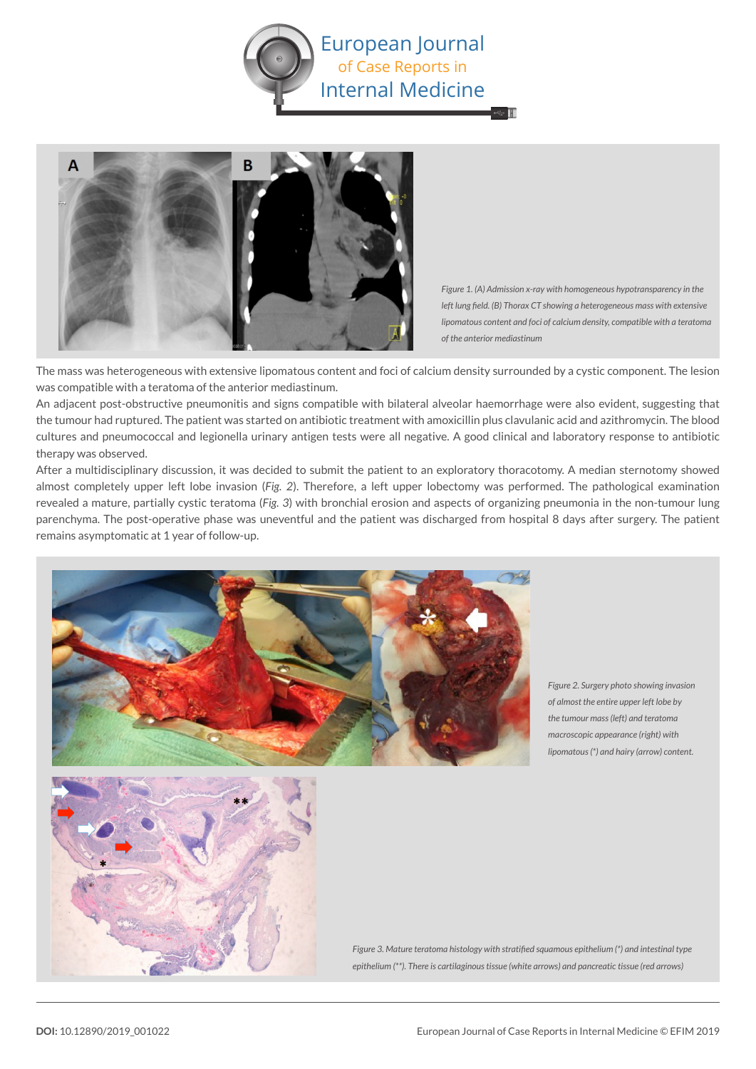



*Figure 1. (A) Admission x-ray with homogeneous hypotransparency in the left lung field. (B) Thorax CT showing a heterogeneous mass with extensive lipomatous content and foci of calcium density, compatible with a teratoma of the anterior mediastinum*

The mass was heterogeneous with extensive lipomatous content and foci of calcium density surrounded by a cystic component. The lesion was compatible with a teratoma of the anterior mediastinum.

An adjacent post-obstructive pneumonitis and signs compatible with bilateral alveolar haemorrhage were also evident, suggesting that the tumour had ruptured. The patient was started on antibiotic treatment with amoxicillin plus clavulanic acid and azithromycin. The blood cultures and pneumococcal and legionella urinary antigen tests were all negative. A good clinical and laboratory response to antibiotic therapy was observed.

After a multidisciplinary discussion, it was decided to submit the patient to an exploratory thoracotomy. A median sternotomy showed almost completely upper left lobe invasion (*Fig. 2*). Therefore, a left upper lobectomy was performed. The pathological examination revealed a mature, partially cystic teratoma (*Fig. 3*) with bronchial erosion and aspects of organizing pneumonia in the non-tumour lung parenchyma. The post-operative phase was uneventful and the patient was discharged from hospital 8 days after surgery. The patient remains asymptomatic at 1 year of follow-up.



*Figure 2. Surgery photo showing invasion of almost the entire upper left lobe by the tumour mass (left) and teratoma macroscopic appearance (right) with lipomatous (\*) and hairy (arrow) content.* 



*Figure 3. Mature teratoma histology with stratified squamous epithelium (\*) and intestinal type epithelium (\*\*). There is cartilaginous tissue (white arrows) and pancreatic tissue (red arrows)*